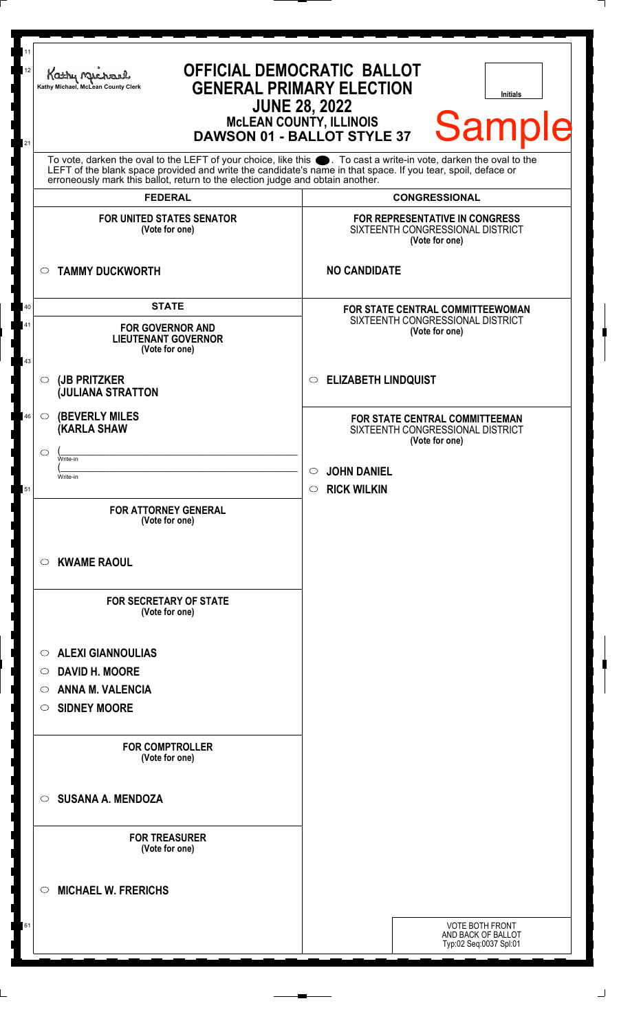| <b>Sample</b><br>To vote, darken the oval to the LEFT of your choice, like this $\bullet$ . To cast a write-in vote, darken the oval to the LEFT of the blank space provided and write the candidate's name in that space. If you tear, spoil, deface<br>erroneously mark this ballot, return to the election judge and obtain another.<br><b>FEDERAL</b><br><b>CONGRESSIONAL</b> |  |  |
|-----------------------------------------------------------------------------------------------------------------------------------------------------------------------------------------------------------------------------------------------------------------------------------------------------------------------------------------------------------------------------------|--|--|
| <b>FOR UNITED STATES SENATOR</b><br><b>FOR REPRESENTATIVE IN CONGRESS</b><br>SIXTEENTH CONGRESSIONAL DISTRICT<br>(Vote for one)<br>(Vote for one)                                                                                                                                                                                                                                 |  |  |
| <b>NO CANDIDATE</b><br><b>TAMMY DUCKWORTH</b><br>$\circ$                                                                                                                                                                                                                                                                                                                          |  |  |
| <b>STATE</b><br>40<br>FOR STATE CENTRAL COMMITTEEWOMAN<br>SIXTEENTH CONGRESSIONAL DISTRICT<br>41<br><b>FOR GOVERNOR AND</b><br>(Vote for one)<br><b>LIEUTENANT GOVERNOR</b><br>(Vote for one)<br>43                                                                                                                                                                               |  |  |
| <b>ELIZABETH LINDQUIST</b><br>(JB PRITZKER<br>$\circ$<br>$\circ$<br><b>JULIANA STRATTON</b>                                                                                                                                                                                                                                                                                       |  |  |
| <b>(BEVERLY MILES)</b><br>46<br>$\circ$<br>FOR STATE CENTRAL COMMITTEEMAN<br><b>(KARLA SHAW</b><br>SIXTEENTH CONGRESSIONAL DISTRICT<br>(Vote for one)<br>◯<br>Write-in<br><b>JOHN DANIEL</b><br>$\circ$<br>Write-in<br><b>RICK WILKIN</b><br>51<br>$\circ$                                                                                                                        |  |  |
| <b>FOR ATTORNEY GENERAL</b><br>(Vote for one)<br><b>KWAME RAOUL</b><br>$\circ$                                                                                                                                                                                                                                                                                                    |  |  |
| <b>FOR SECRETARY OF STATE</b><br>(Vote for one)                                                                                                                                                                                                                                                                                                                                   |  |  |
| <b>ALEXI GIANNOULIAS</b><br>$\circ$<br><b>DAVID H. MOORE</b><br>$\circ$<br><b>ANNA M. VALENCIA</b><br>$\circ$<br><b>SIDNEY MOORE</b><br>$\circ$                                                                                                                                                                                                                                   |  |  |
| <b>FOR COMPTROLLER</b><br>(Vote for one)                                                                                                                                                                                                                                                                                                                                          |  |  |
| <b>SUSANA A. MENDOZA</b><br>$\bigcirc$                                                                                                                                                                                                                                                                                                                                            |  |  |
| <b>FOR TREASURER</b><br>(Vote for one)                                                                                                                                                                                                                                                                                                                                            |  |  |
| <b>MICHAEL W. FRERICHS</b><br>◯                                                                                                                                                                                                                                                                                                                                                   |  |  |
| <b>VOTE BOTH FRONT</b><br>61<br>AND BACK OF BALLOT<br>Typ:02 Seq:0037 Spl:01                                                                                                                                                                                                                                                                                                      |  |  |